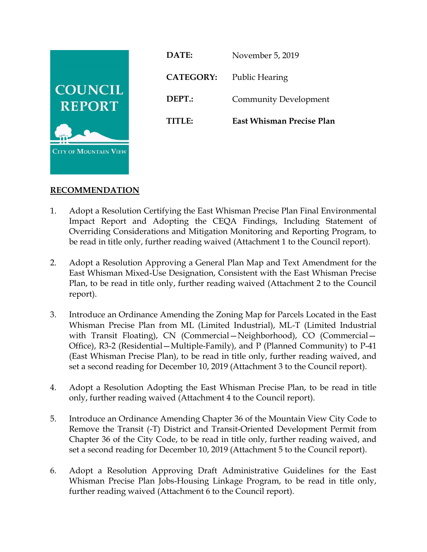

**DATE:** November 5, 2019 **CATEGORY:** Public Hearing **DEPT.:** Community Development **TITLE: East Whisman Precise Plan**

# **RECOMMENDATION**

- 1. Adopt a Resolution Certifying the East Whisman Precise Plan Final Environmental Impact Report and Adopting the CEQA Findings, Including Statement of Overriding Considerations and Mitigation Monitoring and Reporting Program, to be read in title only, further reading waived (Attachment 1 to the Council report).
- 2. Adopt a Resolution Approving a General Plan Map and Text Amendment for the East Whisman Mixed-Use Designation, Consistent with the East Whisman Precise Plan, to be read in title only, further reading waived (Attachment 2 to the Council report).
- 3. Introduce an Ordinance Amending the Zoning Map for Parcels Located in the East Whisman Precise Plan from ML (Limited Industrial), ML-T (Limited Industrial with Transit Floating), CN (Commercial–Neighborhood), CO (Commercial– Office), R3-2 (Residential—Multiple-Family), and P (Planned Community) to P-41 (East Whisman Precise Plan), to be read in title only, further reading waived, and set a second reading for December 10, 2019 (Attachment 3 to the Council report).
- 4. Adopt a Resolution Adopting the East Whisman Precise Plan, to be read in title only, further reading waived (Attachment 4 to the Council report).
- 5. Introduce an Ordinance Amending Chapter 36 of the Mountain View City Code to Remove the Transit (-T) District and Transit-Oriented Development Permit from Chapter 36 of the City Code, to be read in title only, further reading waived, and set a second reading for December 10, 2019 (Attachment 5 to the Council report).
- 6. Adopt a Resolution Approving Draft Administrative Guidelines for the East Whisman Precise Plan Jobs-Housing Linkage Program, to be read in title only, further reading waived (Attachment 6 to the Council report).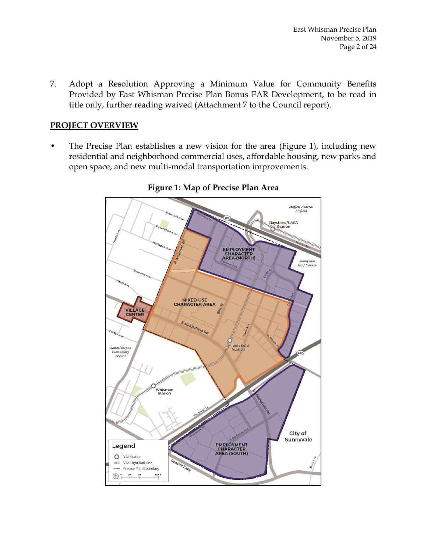7. Adopt a Resolution Approving a Minimum Value for Community Benefits Provided by East Whisman Precise Plan Bonus FAR Development, to be read in title only, further reading waived (Attachment 7 to the Council report).

### **PROJECT OVERVIEW**

• The Precise Plan establishes a new vision for the area (Figure 1), including new residential and neighborhood commercial uses, affordable housing, new parks and open space, and new multi-modal transportation improvements.



#### **Figure 1: Map of Precise Plan Area**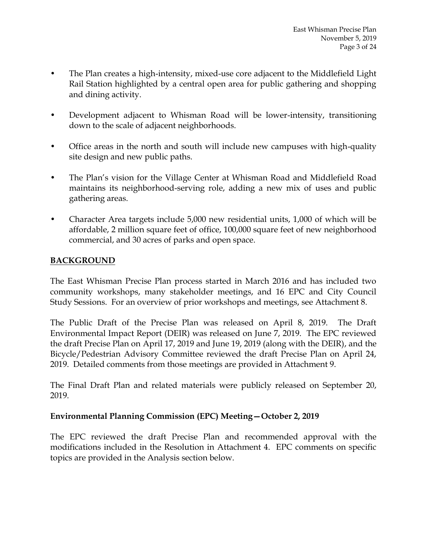- The Plan creates a high-intensity, mixed-use core adjacent to the Middlefield Light Rail Station highlighted by a central open area for public gathering and shopping and dining activity.
- Development adjacent to Whisman Road will be lower-intensity, transitioning down to the scale of adjacent neighborhoods.
- Office areas in the north and south will include new campuses with high-quality site design and new public paths.
- The Plan's vision for the Village Center at Whisman Road and Middlefield Road maintains its neighborhood-serving role, adding a new mix of uses and public gathering areas.
- Character Area targets include 5,000 new residential units, 1,000 of which will be affordable, 2 million square feet of office, 100,000 square feet of new neighborhood commercial, and 30 acres of parks and open space.

# **BACKGROUND**

The East Whisman Precise Plan process started in March 2016 and has included two community workshops, many stakeholder meetings, and 16 EPC and City Council Study Sessions. For an overview of prior workshops and meetings, see Attachment 8.

The Public Draft of the Precise Plan was released on April 8, 2019. The Draft Environmental Impact Report (DEIR) was released on June 7, 2019. The EPC reviewed the draft Precise Plan on April 17, 2019 and June 19, 2019 (along with the DEIR), and the Bicycle/Pedestrian Advisory Committee reviewed the draft Precise Plan on April 24, 2019. Detailed comments from those meetings are provided in Attachment 9.

The Final Draft Plan and related materials were publicly released on September 20, 2019.

# **Environmental Planning Commission (EPC) Meeting—October 2, 2019**

The EPC reviewed the draft Precise Plan and recommended approval with the modifications included in the Resolution in Attachment 4. EPC comments on specific topics are provided in the Analysis section below.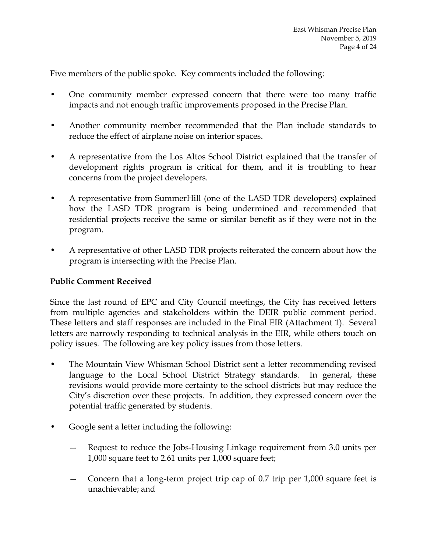Five members of the public spoke. Key comments included the following:

- One community member expressed concern that there were too many traffic impacts and not enough traffic improvements proposed in the Precise Plan.
- Another community member recommended that the Plan include standards to reduce the effect of airplane noise on interior spaces.
- A representative from the Los Altos School District explained that the transfer of development rights program is critical for them, and it is troubling to hear concerns from the project developers.
- A representative from SummerHill (one of the LASD TDR developers) explained how the LASD TDR program is being undermined and recommended that residential projects receive the same or similar benefit as if they were not in the program.
- A representative of other LASD TDR projects reiterated the concern about how the program is intersecting with the Precise Plan.

# **Public Comment Received**

Since the last round of EPC and City Council meetings, the City has received letters from multiple agencies and stakeholders within the DEIR public comment period. These letters and staff responses are included in the Final EIR (Attachment 1). Several letters are narrowly responding to technical analysis in the EIR, while others touch on policy issues. The following are key policy issues from those letters.

- The Mountain View Whisman School District sent a letter recommending revised language to the Local School District Strategy standards. In general, these revisions would provide more certainty to the school districts but may reduce the City's discretion over these projects. In addition, they expressed concern over the potential traffic generated by students.
- Google sent a letter including the following:
	- Request to reduce the Jobs-Housing Linkage requirement from 3.0 units per 1,000 square feet to 2.61 units per 1,000 square feet;
	- Concern that a long-term project trip cap of 0.7 trip per 1,000 square feet is unachievable; and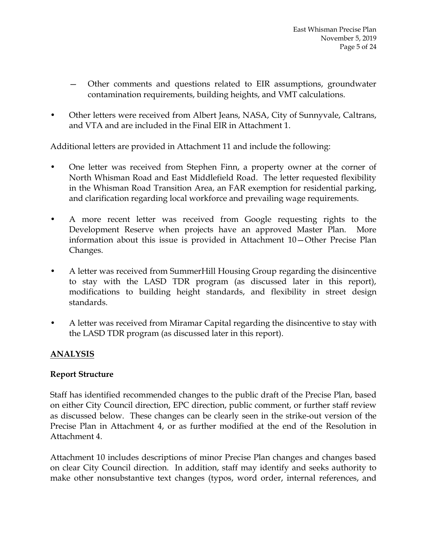- Other comments and questions related to EIR assumptions, groundwater contamination requirements, building heights, and VMT calculations.
- Other letters were received from Albert Jeans, NASA, City of Sunnyvale, Caltrans, and VTA and are included in the Final EIR in Attachment 1.

Additional letters are provided in Attachment 11 and include the following:

- One letter was received from Stephen Finn, a property owner at the corner of North Whisman Road and East Middlefield Road. The letter requested flexibility in the Whisman Road Transition Area, an FAR exemption for residential parking, and clarification regarding local workforce and prevailing wage requirements.
- A more recent letter was received from Google requesting rights to the Development Reserve when projects have an approved Master Plan. More information about this issue is provided in Attachment 10—Other Precise Plan Changes.
- A letter was received from SummerHill Housing Group regarding the disincentive to stay with the LASD TDR program (as discussed later in this report), modifications to building height standards, and flexibility in street design standards.
- A letter was received from Miramar Capital regarding the disincentive to stay with the LASD TDR program (as discussed later in this report).

# **ANALYSIS**

#### **Report Structure**

Staff has identified recommended changes to the public draft of the Precise Plan, based on either City Council direction, EPC direction, public comment, or further staff review as discussed below. These changes can be clearly seen in the strike-out version of the Precise Plan in Attachment 4, or as further modified at the end of the Resolution in Attachment 4.

Attachment 10 includes descriptions of minor Precise Plan changes and changes based on clear City Council direction. In addition, staff may identify and seeks authority to make other nonsubstantive text changes (typos, word order, internal references, and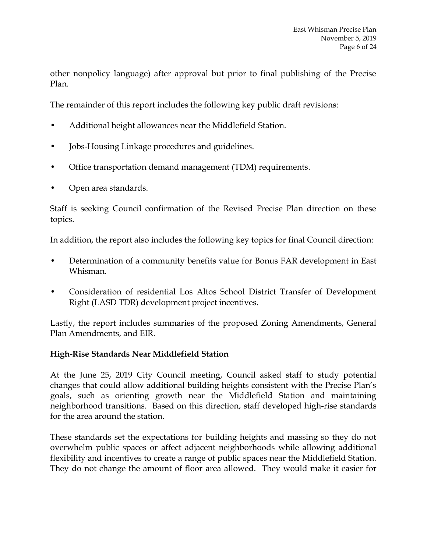other nonpolicy language) after approval but prior to final publishing of the Precise Plan.

The remainder of this report includes the following key public draft revisions:

- Additional height allowances near the Middlefield Station.
- Jobs-Housing Linkage procedures and guidelines.
- Office transportation demand management (TDM) requirements.
- Open area standards.

Staff is seeking Council confirmation of the Revised Precise Plan direction on these topics.

In addition, the report also includes the following key topics for final Council direction:

- Determination of a community benefits value for Bonus FAR development in East Whisman.
- Consideration of residential Los Altos School District Transfer of Development Right (LASD TDR) development project incentives.

Lastly, the report includes summaries of the proposed Zoning Amendments, General Plan Amendments, and EIR.

# **High-Rise Standards Near Middlefield Station**

At the June 25, 2019 City Council meeting, Council asked staff to study potential changes that could allow additional building heights consistent with the Precise Plan's goals, such as orienting growth near the Middlefield Station and maintaining neighborhood transitions. Based on this direction, staff developed high-rise standards for the area around the station.

These standards set the expectations for building heights and massing so they do not overwhelm public spaces or affect adjacent neighborhoods while allowing additional flexibility and incentives to create a range of public spaces near the Middlefield Station. They do not change the amount of floor area allowed. They would make it easier for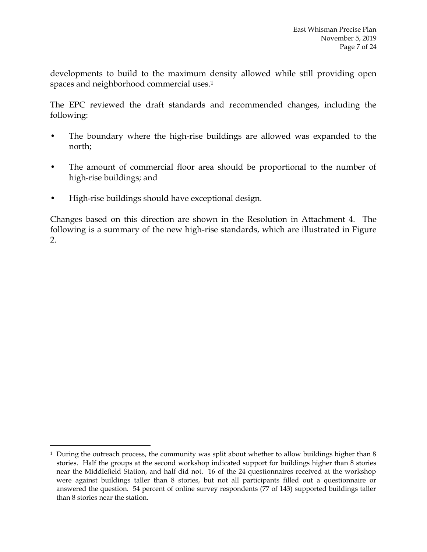developments to build to the maximum density allowed while still providing open spaces and neighborhood commercial uses.<sup>1</sup>

The EPC reviewed the draft standards and recommended changes, including the following:

- The boundary where the high-rise buildings are allowed was expanded to the north;
- The amount of commercial floor area should be proportional to the number of high-rise buildings; and
- High-rise buildings should have exceptional design.

 $\overline{a}$ 

Changes based on this direction are shown in the Resolution in Attachment 4. The following is a summary of the new high-rise standards, which are illustrated in Figure 2.

<sup>&</sup>lt;sup>1</sup> During the outreach process, the community was split about whether to allow buildings higher than 8 stories. Half the groups at the second workshop indicated support for buildings higher than 8 stories near the Middlefield Station, and half did not. 16 of the 24 questionnaires received at the workshop were against buildings taller than 8 stories, but not all participants filled out a questionnaire or answered the question. 54 percent of online survey respondents (77 of 143) supported buildings taller than 8 stories near the station.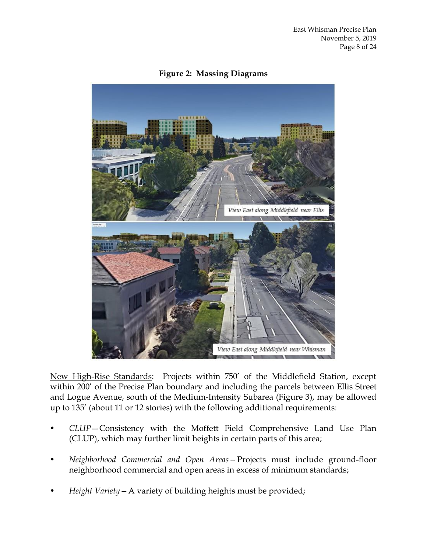

**Figure 2: Massing Diagrams**

New High-Rise Standards: Projects within 750' of the Middlefield Station, except within 200' of the Precise Plan boundary and including the parcels between Ellis Street and Logue Avenue, south of the Medium-Intensity Subarea (Figure 3), may be allowed up to 135' (about 11 or 12 stories) with the following additional requirements:

- *• CLUP*—Consistency with the Moffett Field Comprehensive Land Use Plan (CLUP), which may further limit heights in certain parts of this area;
- *• Neighborhood Commercial and Open Areas—*Projects must include ground-floor neighborhood commercial and open areas in excess of minimum standards;
- *• Height Variety—*A variety of building heights must be provided;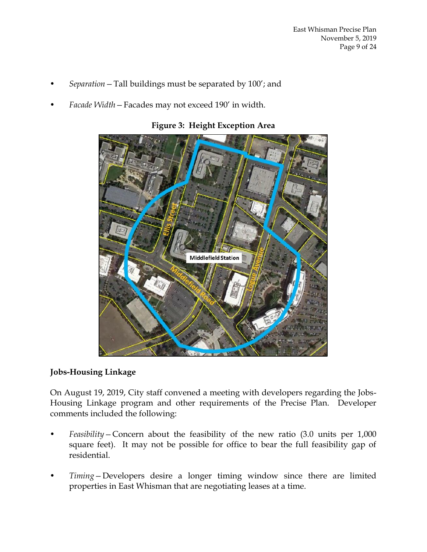- *• Separation—*Tall buildings must be separated by 100'; and
- *• Facade Width—*Facades may not exceed 190' in width.



**Figure 3: Height Exception Area**

#### **Jobs-Housing Linkage**

On August 19, 2019, City staff convened a meeting with developers regarding the Jobs-Housing Linkage program and other requirements of the Precise Plan. Developer comments included the following:

- *• Feasibility—*Concern about the feasibility of the new ratio (3.0 units per 1,000 square feet). It may not be possible for office to bear the full feasibility gap of residential.
- *• Timing—*Developers desire a longer timing window since there are limited properties in East Whisman that are negotiating leases at a time.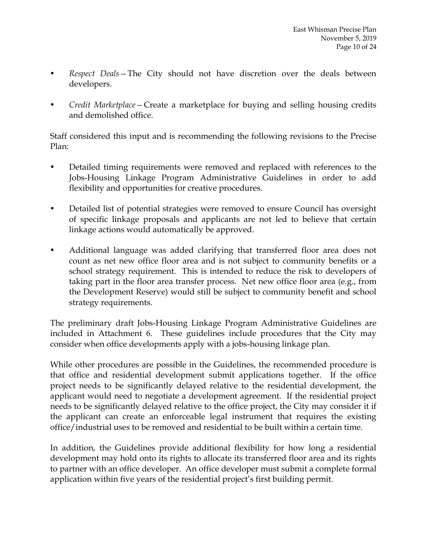- *• Respect Deals—*The City should not have discretion over the deals between developers.
- *• Credit Marketplace—*Create a marketplace for buying and selling housing credits and demolished office.

Staff considered this input and is recommending the following revisions to the Precise Plan:

- *•* Detailed timing requirements were removed and replaced with references to the Jobs-Housing Linkage Program Administrative Guidelines in order to add flexibility and opportunities for creative procedures.
- *•* Detailed list of potential strategies were removed to ensure Council has oversight of specific linkage proposals and applicants are not led to believe that certain linkage actions would automatically be approved.
- *•* Additional language was added clarifying that transferred floor area does not count as net new office floor area and is not subject to community benefits or a school strategy requirement. This is intended to reduce the risk to developers of taking part in the floor area transfer process. Net new office floor area (e.g., from the Development Reserve) would still be subject to community benefit and school strategy requirements.

The preliminary draft Jobs-Housing Linkage Program Administrative Guidelines are included in Attachment 6. These guidelines include procedures that the City may consider when office developments apply with a jobs-housing linkage plan.

While other procedures are possible in the Guidelines, the recommended procedure is that office and residential development submit applications together. If the office project needs to be significantly delayed relative to the residential development, the applicant would need to negotiate a development agreement. If the residential project needs to be significantly delayed relative to the office project, the City may consider it if the applicant can create an enforceable legal instrument that requires the existing office/industrial uses to be removed and residential to be built within a certain time.

In addition, the Guidelines provide additional flexibility for how long a residential development may hold onto its rights to allocate its transferred floor area and its rights to partner with an office developer. An office developer must submit a complete formal application within five years of the residential project's first building permit.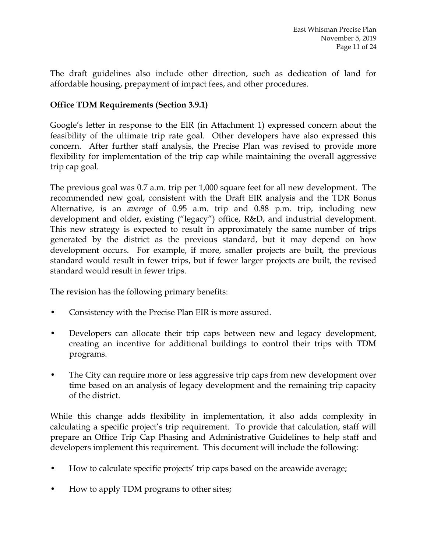The draft guidelines also include other direction, such as dedication of land for affordable housing, prepayment of impact fees, and other procedures.

### **Office TDM Requirements (Section 3.9.1)**

Google's letter in response to the EIR (in Attachment 1) expressed concern about the feasibility of the ultimate trip rate goal. Other developers have also expressed this concern. After further staff analysis, the Precise Plan was revised to provide more flexibility for implementation of the trip cap while maintaining the overall aggressive trip cap goal.

The previous goal was 0.7 a.m. trip per 1,000 square feet for all new development. The recommended new goal, consistent with the Draft EIR analysis and the TDR Bonus Alternative, is an *average* of 0.95 a.m. trip and 0.88 p.m. trip, including new development and older, existing ("legacy") office, R&D, and industrial development. This new strategy is expected to result in approximately the same number of trips generated by the district as the previous standard, but it may depend on how development occurs. For example, if more, smaller projects are built, the previous standard would result in fewer trips, but if fewer larger projects are built, the revised standard would result in fewer trips.

The revision has the following primary benefits:

- Consistency with the Precise Plan EIR is more assured.
- Developers can allocate their trip caps between new and legacy development, creating an incentive for additional buildings to control their trips with TDM programs.
- The City can require more or less aggressive trip caps from new development over time based on an analysis of legacy development and the remaining trip capacity of the district.

While this change adds flexibility in implementation, it also adds complexity in calculating a specific project's trip requirement. To provide that calculation, staff will prepare an Office Trip Cap Phasing and Administrative Guidelines to help staff and developers implement this requirement. This document will include the following:

- How to calculate specific projects' trip caps based on the areawide average;
- How to apply TDM programs to other sites;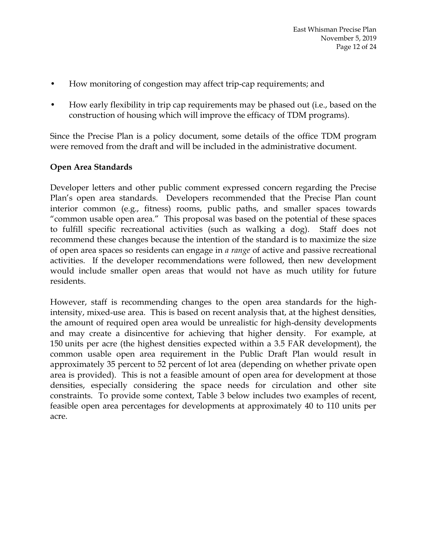- How monitoring of congestion may affect trip-cap requirements; and
- How early flexibility in trip cap requirements may be phased out (i.e., based on the construction of housing which will improve the efficacy of TDM programs).

Since the Precise Plan is a policy document, some details of the office TDM program were removed from the draft and will be included in the administrative document.

### **Open Area Standards**

Developer letters and other public comment expressed concern regarding the Precise Plan's open area standards. Developers recommended that the Precise Plan count interior common (e.g., fitness) rooms, public paths, and smaller spaces towards "common usable open area." This proposal was based on the potential of these spaces to fulfill specific recreational activities (such as walking a dog). Staff does not recommend these changes because the intention of the standard is to maximize the size of open area spaces so residents can engage in *a range* of active and passive recreational activities. If the developer recommendations were followed, then new development would include smaller open areas that would not have as much utility for future residents.

However, staff is recommending changes to the open area standards for the highintensity, mixed-use area. This is based on recent analysis that, at the highest densities, the amount of required open area would be unrealistic for high-density developments and may create a disincentive for achieving that higher density. For example, at 150 units per acre (the highest densities expected within a 3.5 FAR development), the common usable open area requirement in the Public Draft Plan would result in approximately 35 percent to 52 percent of lot area (depending on whether private open area is provided). This is not a feasible amount of open area for development at those densities, especially considering the space needs for circulation and other site constraints. To provide some context, Table 3 below includes two examples of recent, feasible open area percentages for developments at approximately 40 to 110 units per acre.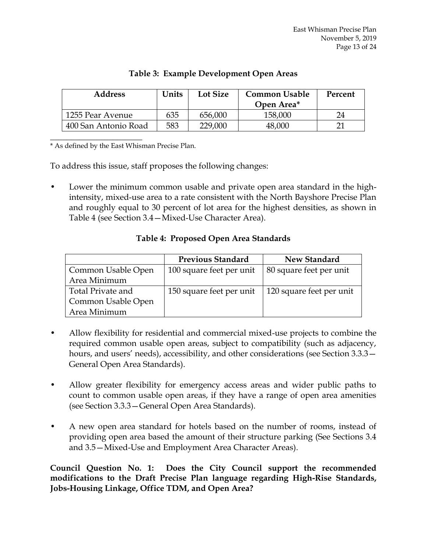| <b>Address</b>       | Units | Lot Size | <b>Common Usable</b><br>Open Area* | Percent |
|----------------------|-------|----------|------------------------------------|---------|
| 1255 Pear Avenue     | 635   | 656,000  | 158,000                            | 24      |
| 400 San Antonio Road | 583   | 229,000  | 48,000                             |         |

# **Table 3: Example Development Open Areas**

\* As defined by the East Whisman Precise Plan.

 $\overline{\phantom{a}}$  , where  $\overline{\phantom{a}}$  , where  $\overline{\phantom{a}}$ 

To address this issue, staff proposes the following changes:

• Lower the minimum common usable and private open area standard in the highintensity, mixed-use area to a rate consistent with the North Bayshore Precise Plan and roughly equal to 30 percent of lot area for the highest densities, as shown in Table 4 (see Section 3.4—Mixed-Use Character Area).

# **Table 4: Proposed Open Area Standards**

|                    | <b>Previous Standard</b> | New Standard             |  |
|--------------------|--------------------------|--------------------------|--|
| Common Usable Open | 100 square feet per unit | 80 square feet per unit  |  |
| Area Minimum       |                          |                          |  |
| Total Private and  | 150 square feet per unit | 120 square feet per unit |  |
| Common Usable Open |                          |                          |  |
| Area Minimum       |                          |                          |  |

- Allow flexibility for residential and commercial mixed-use projects to combine the required common usable open areas, subject to compatibility (such as adjacency, hours, and users' needs), accessibility, and other considerations (see Section 3.3.3— General Open Area Standards).
- Allow greater flexibility for emergency access areas and wider public paths to count to common usable open areas, if they have a range of open area amenities (see Section 3.3.3—General Open Area Standards).
- A new open area standard for hotels based on the number of rooms, instead of providing open area based the amount of their structure parking (See Sections 3.4 and 3.5—Mixed-Use and Employment Area Character Areas).

**Council Question No. 1: Does the City Council support the recommended modifications to the Draft Precise Plan language regarding High-Rise Standards, Jobs-Housing Linkage, Office TDM, and Open Area?**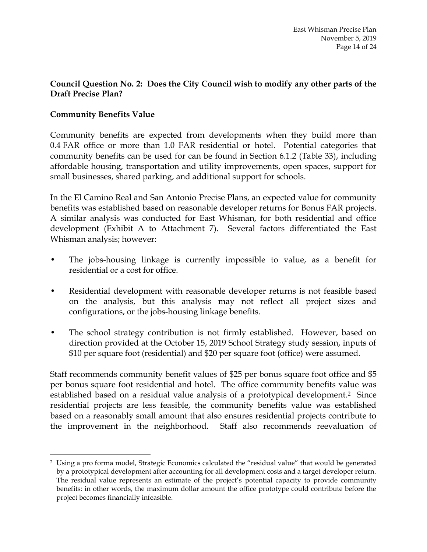### **Council Question No. 2: Does the City Council wish to modify any other parts of the Draft Precise Plan?**

### **Community Benefits Value**

 $\overline{a}$ 

Community benefits are expected from developments when they build more than 0.4 FAR office or more than 1.0 FAR residential or hotel. Potential categories that community benefits can be used for can be found in Section 6.1.2 (Table 33), including affordable housing, transportation and utility improvements, open spaces, support for small businesses, shared parking, and additional support for schools.

In the El Camino Real and San Antonio Precise Plans, an expected value for community benefits was established based on reasonable developer returns for Bonus FAR projects. A similar analysis was conducted for East Whisman, for both residential and office development (Exhibit A to Attachment 7). Several factors differentiated the East Whisman analysis; however:

- The jobs-housing linkage is currently impossible to value, as a benefit for residential or a cost for office.
- Residential development with reasonable developer returns is not feasible based on the analysis, but this analysis may not reflect all project sizes and configurations, or the jobs-housing linkage benefits.
- The school strategy contribution is not firmly established. However, based on direction provided at the October 15, 2019 School Strategy study session, inputs of \$10 per square foot (residential) and \$20 per square foot (office) were assumed.

Staff recommends community benefit values of \$25 per bonus square foot office and \$5 per bonus square foot residential and hotel. The office community benefits value was established based on a residual value analysis of a prototypical development.<sup>2</sup> Since residential projects are less feasible, the community benefits value was established based on a reasonably small amount that also ensures residential projects contribute to the improvement in the neighborhood. Staff also recommends reevaluation of

<sup>2</sup> Using a pro forma model, Strategic Economics calculated the "residual value" that would be generated by a prototypical development after accounting for all development costs and a target developer return. The residual value represents an estimate of the project's potential capacity to provide community benefits: in other words, the maximum dollar amount the office prototype could contribute before the project becomes financially infeasible.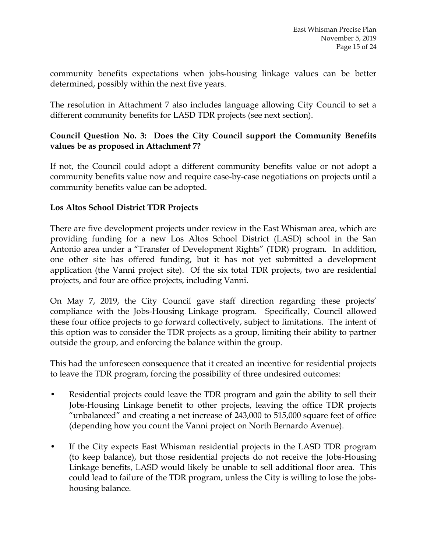community benefits expectations when jobs-housing linkage values can be better determined, possibly within the next five years.

The resolution in Attachment 7 also includes language allowing City Council to set a different community benefits for LASD TDR projects (see next section).

# **Council Question No. 3: Does the City Council support the Community Benefits values be as proposed in Attachment 7?**

If not, the Council could adopt a different community benefits value or not adopt a community benefits value now and require case-by-case negotiations on projects until a community benefits value can be adopted.

# **Los Altos School District TDR Projects**

There are five development projects under review in the East Whisman area, which are providing funding for a new Los Altos School District (LASD) school in the San Antonio area under a "Transfer of Development Rights" (TDR) program. In addition, one other site has offered funding, but it has not yet submitted a development application (the Vanni project site). Of the six total TDR projects, two are residential projects, and four are office projects, including Vanni.

On May 7, 2019, the City Council gave staff direction regarding these projects' compliance with the Jobs-Housing Linkage program. Specifically, Council allowed these four office projects to go forward collectively, subject to limitations. The intent of this option was to consider the TDR projects as a group, limiting their ability to partner outside the group, and enforcing the balance within the group.

This had the unforeseen consequence that it created an incentive for residential projects to leave the TDR program, forcing the possibility of three undesired outcomes:

- Residential projects could leave the TDR program and gain the ability to sell their Jobs-Housing Linkage benefit to other projects, leaving the office TDR projects "unbalanced" and creating a net increase of 243,000 to 515,000 square feet of office (depending how you count the Vanni project on North Bernardo Avenue).
- If the City expects East Whisman residential projects in the LASD TDR program (to keep balance), but those residential projects do not receive the Jobs-Housing Linkage benefits, LASD would likely be unable to sell additional floor area. This could lead to failure of the TDR program, unless the City is willing to lose the jobshousing balance.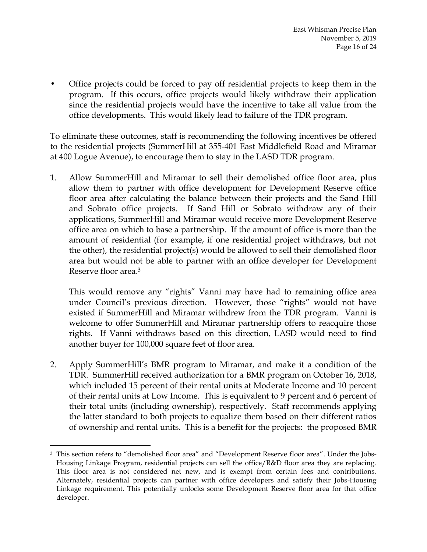• Office projects could be forced to pay off residential projects to keep them in the program. If this occurs, office projects would likely withdraw their application since the residential projects would have the incentive to take all value from the office developments. This would likely lead to failure of the TDR program.

To eliminate these outcomes, staff is recommending the following incentives be offered to the residential projects (SummerHill at 355-401 East Middlefield Road and Miramar at 400 Logue Avenue), to encourage them to stay in the LASD TDR program.

1. Allow SummerHill and Miramar to sell their demolished office floor area, plus allow them to partner with office development for Development Reserve office floor area after calculating the balance between their projects and the Sand Hill and Sobrato office projects. If Sand Hill or Sobrato withdraw any of their applications, SummerHill and Miramar would receive more Development Reserve office area on which to base a partnership. If the amount of office is more than the amount of residential (for example, if one residential project withdraws, but not the other), the residential project(s) would be allowed to sell their demolished floor area but would not be able to partner with an office developer for Development Reserve floor area.<sup>3</sup>

This would remove any "rights" Vanni may have had to remaining office area under Council's previous direction. However, those "rights" would not have existed if SummerHill and Miramar withdrew from the TDR program. Vanni is welcome to offer SummerHill and Miramar partnership offers to reacquire those rights. If Vanni withdraws based on this direction, LASD would need to find another buyer for 100,000 square feet of floor area.

2. Apply SummerHill's BMR program to Miramar, and make it a condition of the TDR. SummerHill received authorization for a BMR program on October 16, 2018, which included 15 percent of their rental units at Moderate Income and 10 percent of their rental units at Low Income. This is equivalent to 9 percent and 6 percent of their total units (including ownership), respectively. Staff recommends applying the latter standard to both projects to equalize them based on their different ratios of ownership and rental units. This is a benefit for the projects: the proposed BMR

 $\overline{a}$ 

<sup>3</sup> This section refers to "demolished floor area" and "Development Reserve floor area". Under the Jobs-Housing Linkage Program, residential projects can sell the office/R&D floor area they are replacing. This floor area is not considered net new, and is exempt from certain fees and contributions. Alternately, residential projects can partner with office developers and satisfy their Jobs-Housing Linkage requirement. This potentially unlocks some Development Reserve floor area for that office developer.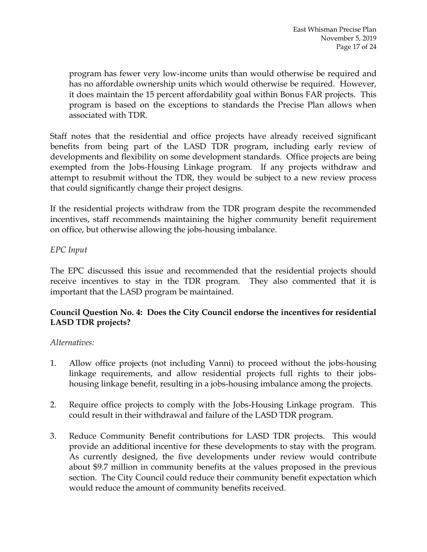program has fewer very low-income units than would otherwise be required and has no affordable ownership units which would otherwise be required. However, it does maintain the 15 percent affordability goal within Bonus FAR projects. This program is based on the exceptions to standards the Precise Plan allows when associated with TDR.

Staff notes that the residential and office projects have already received significant benefits from being part of the LASD TDR program, including early review of developments and flexibility on some development standards. Office projects are being exempted from the Jobs-Housing Linkage program. If any projects withdraw and attempt to resubmit without the TDR, they would be subject to a new review process that could significantly change their project designs.

If the residential projects withdraw from the TDR program despite the recommended incentives, staff recommends maintaining the higher community benefit requirement on office, but otherwise allowing the jobs-housing imbalance.

### *EPC Input*

The EPC discussed this issue and recommended that the residential projects should receive incentives to stay in the TDR program. They also commented that it is important that the LASD program be maintained.

# **Council Question No. 4: Does the City Council endorse the incentives for residential LASD TDR projects?**

#### *Alternatives:*

- 1. Allow office projects (not including Vanni) to proceed without the jobs-housing linkage requirements, and allow residential projects full rights to their jobshousing linkage benefit, resulting in a jobs-housing imbalance among the projects.
- 2. Require office projects to comply with the Jobs-Housing Linkage program. This could result in their withdrawal and failure of the LASD TDR program.
- 3. Reduce Community Benefit contributions for LASD TDR projects. This would provide an additional incentive for these developments to stay with the program. As currently designed, the five developments under review would contribute about \$9.7 million in community benefits at the values proposed in the previous section. The City Council could reduce their community benefit expectation which would reduce the amount of community benefits received.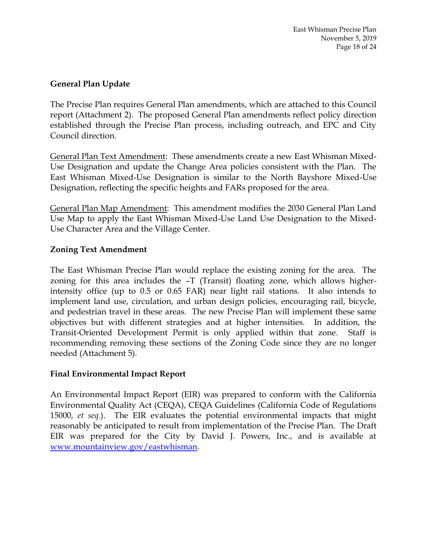### **General Plan Update**

The Precise Plan requires General Plan amendments, which are attached to this Council report (Attachment 2). The proposed General Plan amendments reflect policy direction established through the Precise Plan process, including outreach, and EPC and City Council direction.

General Plan Text Amendment: These amendments create a new East Whisman Mixed-Use Designation and update the Change Area policies consistent with the Plan. The East Whisman Mixed-Use Designation is similar to the North Bayshore Mixed-Use Designation, reflecting the specific heights and FARs proposed for the area.

General Plan Map Amendment: This amendment modifies the 2030 General Plan Land Use Map to apply the East Whisman Mixed-Use Land Use Designation to the Mixed-Use Character Area and the Village Center.

### **Zoning Text Amendment**

The East Whisman Precise Plan would replace the existing zoning for the area. The zoning for this area includes the –T (Transit) floating zone, which allows higherintensity office (up to 0.5 or 0.65 FAR) near light rail stations. It also intends to implement land use, circulation, and urban design policies, encouraging rail, bicycle, and pedestrian travel in these areas. The new Precise Plan will implement these same objectives but with different strategies and at higher intensities. In addition, the Transit-Oriented Development Permit is only applied within that zone. Staff is recommending removing these sections of the Zoning Code since they are no longer needed (Attachment 5).

#### **Final Environmental Impact Report**

An Environmental Impact Report (EIR) was prepared to conform with the California Environmental Quality Act (CEQA), CEQA Guidelines (California Code of Regulations 15000, *et seq.*). The EIR evaluates the potential environmental impacts that might reasonably be anticipated to result from implementation of the Precise Plan. The Draft EIR was prepared for the City by David J. Powers, Inc., and is available at [www.mountainview.gov/eastwhisman.](http://www.mountainview.gov/eastwhisman)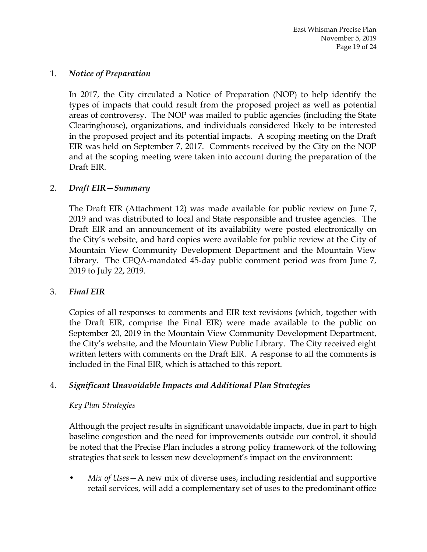#### 1. *Notice of Preparation*

In 2017, the City circulated a Notice of Preparation (NOP) to help identify the types of impacts that could result from the proposed project as well as potential areas of controversy. The NOP was mailed to public agencies (including the State Clearinghouse), organizations, and individuals considered likely to be interested in the proposed project and its potential impacts. A scoping meeting on the Draft EIR was held on September 7, 2017. Comments received by the City on the NOP and at the scoping meeting were taken into account during the preparation of the Draft EIR.

#### 2. *Draft EIR—Summary*

The Draft EIR (Attachment 12) was made available for public review on June 7, 2019 and was distributed to local and State responsible and trustee agencies. The Draft EIR and an announcement of its availability were posted electronically on the City's website, and hard copies were available for public review at the City of Mountain View Community Development Department and the Mountain View Library. The CEQA-mandated 45-day public comment period was from June 7, 2019 to July 22, 2019.

#### 3. *Final EIR*

Copies of all responses to comments and EIR text revisions (which, together with the Draft EIR, comprise the Final EIR) were made available to the public on September 20, 2019 in the Mountain View Community Development Department, the City's website, and the Mountain View Public Library. The City received eight written letters with comments on the Draft EIR. A response to all the comments is included in the Final EIR, which is attached to this report.

#### 4. *Significant Unavoidable Impacts and Additional Plan Strategies*

#### *Key Plan Strategies*

Although the project results in significant unavoidable impacts, due in part to high baseline congestion and the need for improvements outside our control, it should be noted that the Precise Plan includes a strong policy framework of the following strategies that seek to lessen new development's impact on the environment:

• *Mix of Uses*—A new mix of diverse uses, including residential and supportive retail services, will add a complementary set of uses to the predominant office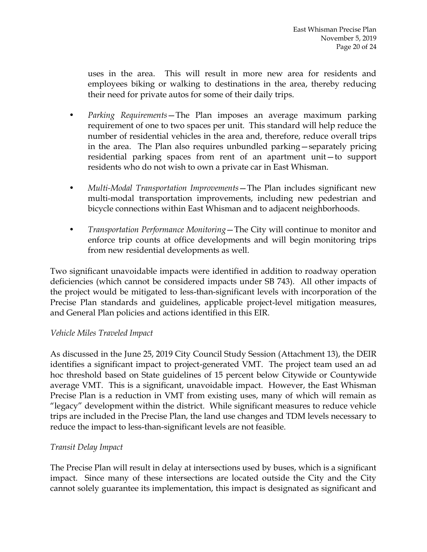uses in the area. This will result in more new area for residents and employees biking or walking to destinations in the area, thereby reducing their need for private autos for some of their daily trips.

- *Parking Requirements*—The Plan imposes an average maximum parking requirement of one to two spaces per unit. This standard will help reduce the number of residential vehicles in the area and, therefore, reduce overall trips in the area. The Plan also requires unbundled parking—separately pricing residential parking spaces from rent of an apartment unit—to support residents who do not wish to own a private car in East Whisman.
- *Multi-Modal Transportation Improvements*—The Plan includes significant new multi-modal transportation improvements, including new pedestrian and bicycle connections within East Whisman and to adjacent neighborhoods.
- *Transportation Performance Monitoring*—The City will continue to monitor and enforce trip counts at office developments and will begin monitoring trips from new residential developments as well.

Two significant unavoidable impacts were identified in addition to roadway operation deficiencies (which cannot be considered impacts under SB 743). All other impacts of the project would be mitigated to less-than-significant levels with incorporation of the Precise Plan standards and guidelines, applicable project-level mitigation measures, and General Plan policies and actions identified in this EIR.

#### *Vehicle Miles Traveled Impact*

As discussed in the June 25, 2019 City Council Study Session (Attachment 13), the DEIR identifies a significant impact to project-generated VMT. The project team used an ad hoc threshold based on State guidelines of 15 percent below Citywide or Countywide average VMT. This is a significant, unavoidable impact. However, the East Whisman Precise Plan is a reduction in VMT from existing uses, many of which will remain as "legacy" development within the district. While significant measures to reduce vehicle trips are included in the Precise Plan, the land use changes and TDM levels necessary to reduce the impact to less-than-significant levels are not feasible.

# *Transit Delay Impact*

The Precise Plan will result in delay at intersections used by buses, which is a significant impact. Since many of these intersections are located outside the City and the City cannot solely guarantee its implementation, this impact is designated as significant and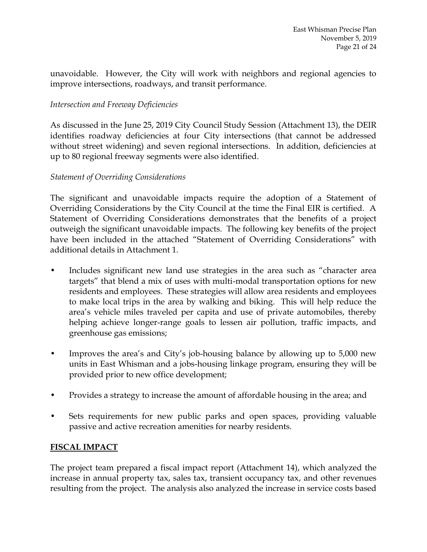unavoidable. However, the City will work with neighbors and regional agencies to improve intersections, roadways, and transit performance.

#### *Intersection and Freeway Deficiencies*

As discussed in the June 25, 2019 City Council Study Session (Attachment 13), the DEIR identifies roadway deficiencies at four City intersections (that cannot be addressed without street widening) and seven regional intersections. In addition, deficiencies at up to 80 regional freeway segments were also identified.

#### *Statement of Overriding Considerations*

The significant and unavoidable impacts require the adoption of a Statement of Overriding Considerations by the City Council at the time the Final EIR is certified. A Statement of Overriding Considerations demonstrates that the benefits of a project outweigh the significant unavoidable impacts. The following key benefits of the project have been included in the attached "Statement of Overriding Considerations" with additional details in Attachment 1.

- Includes significant new land use strategies in the area such as "character area targets" that blend a mix of uses with multi-modal transportation options for new residents and employees. These strategies will allow area residents and employees to make local trips in the area by walking and biking. This will help reduce the area's vehicle miles traveled per capita and use of private automobiles, thereby helping achieve longer-range goals to lessen air pollution, traffic impacts, and greenhouse gas emissions;
- Improves the area's and City's job-housing balance by allowing up to 5,000 new units in East Whisman and a jobs-housing linkage program, ensuring they will be provided prior to new office development;
- Provides a strategy to increase the amount of affordable housing in the area; and
- Sets requirements for new public parks and open spaces, providing valuable passive and active recreation amenities for nearby residents.

#### **FISCAL IMPACT**

The project team prepared a fiscal impact report (Attachment 14), which analyzed the increase in annual property tax, sales tax, transient occupancy tax, and other revenues resulting from the project. The analysis also analyzed the increase in service costs based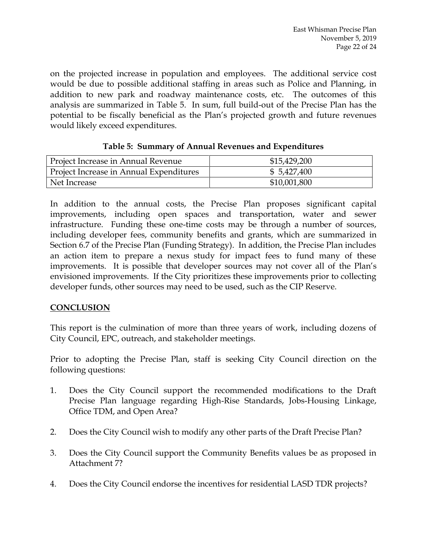on the projected increase in population and employees. The additional service cost would be due to possible additional staffing in areas such as Police and Planning, in addition to new park and roadway maintenance costs, etc. The outcomes of this analysis are summarized in Table 5. In sum, full build-out of the Precise Plan has the potential to be fiscally beneficial as the Plan's projected growth and future revenues would likely exceed expenditures.

| Project Increase in Annual Revenue      | \$15,429,200 |  |  |
|-----------------------------------------|--------------|--|--|
| Project Increase in Annual Expenditures | \$5,427,400  |  |  |
| Net Increase                            | \$10,001,800 |  |  |

| Table 5: Summary of Annual Revenues and Expenditures |  |  |  |  |  |
|------------------------------------------------------|--|--|--|--|--|
|------------------------------------------------------|--|--|--|--|--|

In addition to the annual costs, the Precise Plan proposes significant capital improvements, including open spaces and transportation, water and sewer infrastructure. Funding these one-time costs may be through a number of sources, including developer fees, community benefits and grants, which are summarized in Section 6.7 of the Precise Plan (Funding Strategy). In addition, the Precise Plan includes an action item to prepare a nexus study for impact fees to fund many of these improvements. It is possible that developer sources may not cover all of the Plan's envisioned improvements. If the City prioritizes these improvements prior to collecting developer funds, other sources may need to be used, such as the CIP Reserve.

# **CONCLUSION**

This report is the culmination of more than three years of work, including dozens of City Council, EPC, outreach, and stakeholder meetings.

Prior to adopting the Precise Plan, staff is seeking City Council direction on the following questions:

- 1. Does the City Council support the recommended modifications to the Draft Precise Plan language regarding High-Rise Standards, Jobs-Housing Linkage, Office TDM, and Open Area?
- 2. Does the City Council wish to modify any other parts of the Draft Precise Plan?
- 3. Does the City Council support the Community Benefits values be as proposed in Attachment 7?
- 4. Does the City Council endorse the incentives for residential LASD TDR projects?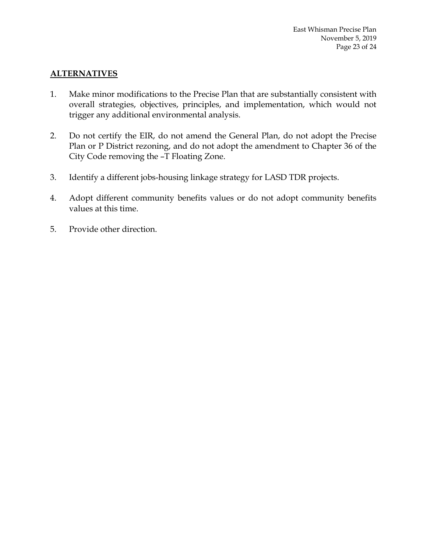### **ALTERNATIVES**

- 1. Make minor modifications to the Precise Plan that are substantially consistent with overall strategies, objectives, principles, and implementation, which would not trigger any additional environmental analysis.
- 2. Do not certify the EIR, do not amend the General Plan, do not adopt the Precise Plan or P District rezoning, and do not adopt the amendment to Chapter 36 of the City Code removing the –T Floating Zone.
- 3. Identify a different jobs-housing linkage strategy for LASD TDR projects.
- 4. Adopt different community benefits values or do not adopt community benefits values at this time.
- 5. Provide other direction.